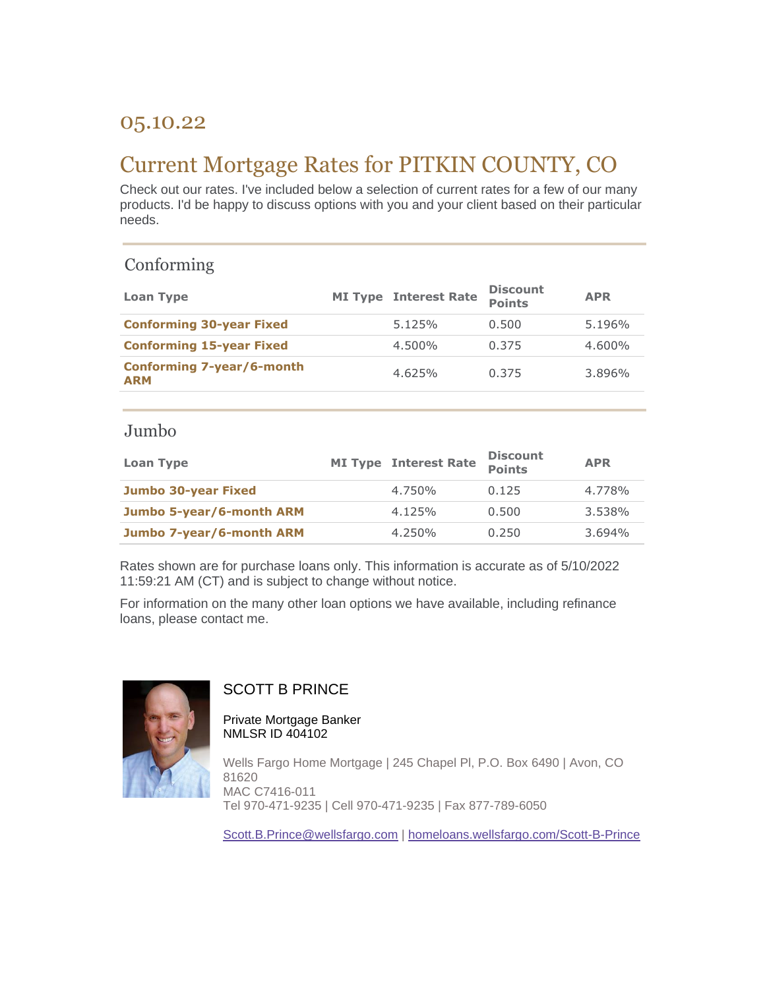# 05.10.22

# Current Mortgage Rates for PITKIN COUNTY, CO

Check out our rates. I've included below a selection of current rates for a few of our many products. I'd be happy to discuss options with you and your client based on their particular needs.

## Conforming

| Loan Type                               | <b>MI Type Interest Rate</b> | <b>Discount</b><br><b>Points</b> | <b>APR</b> |
|-----------------------------------------|------------------------------|----------------------------------|------------|
| <b>Conforming 30-year Fixed</b>         | 5.125%                       | 0.500                            | 5.196%     |
| <b>Conforming 15-year Fixed</b>         | 4.500%                       | 0.375                            | 4.600%     |
| Conforming 7-year/6-month<br><b>ARM</b> | 4.625%                       | 0.375                            | 3.896%     |

#### Jumbo

| Loan Type                  | <b>MI Type Interest Rate</b> | <b>Discount</b><br><b>Points</b> | <b>APR</b> |
|----------------------------|------------------------------|----------------------------------|------------|
| <b>Jumbo 30-year Fixed</b> | 4.750%                       | 0.125                            | 4.778%     |
| Jumbo 5-year/6-month ARM   | 4.125%                       | 0.500                            | 3.538%     |
| Jumbo 7-year/6-month ARM   | 4.250%                       | 0.250                            | $3.694\%$  |

Rates shown are for purchase loans only. This information is accurate as of 5/10/2022 11:59:21 AM (CT) and is subject to change without notice.

For information on the many other loan options we have available, including refinance loans, please contact me.



### SCOTT B PRINCE

Private Mortgage Banker NMLSR ID 404102

Wells Fargo Home Mortgage | 245 Chapel Pl, P.O. Box 6490 | Avon, CO 81620 MAC C7416-011 Tel 970-471-9235 | Cell 970-471-9235 | Fax 877-789-6050

[Scott.B.Prince@wellsfargo.com](mailto:Scott.B.Prince@wellsfargo.com) | [homeloans.wellsfargo.com/Scott-B-Prince](https://homeloans.wellsfargo.com/Scott-B-Prince)